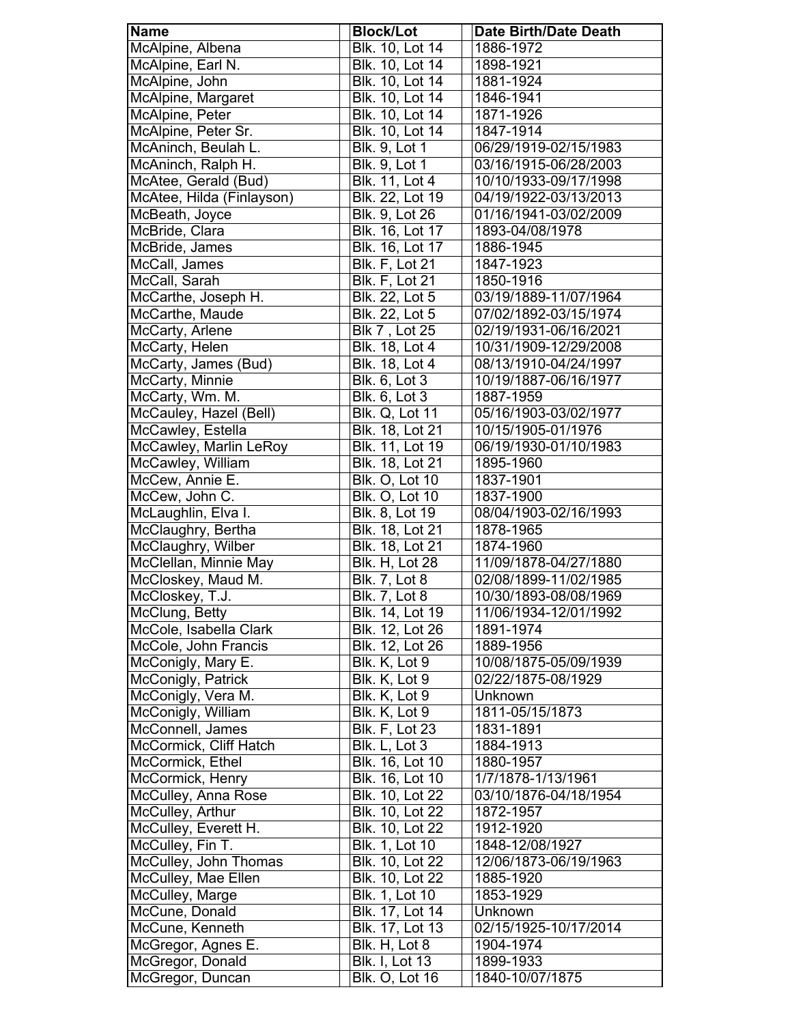| <b>Name</b>               | <b>Block/Lot</b>       | <b>Date Birth/Date Death</b> |
|---------------------------|------------------------|------------------------------|
| McAlpine, Albena          | Blk. 10, Lot 14        | 1886-1972                    |
| McAlpine, Earl N.         | Blk. 10, Lot 14        | 1898-1921                    |
| McAlpine, John            | Blk. 10, Lot 14        | 1881-1924                    |
| McAlpine, Margaret        | <b>Blk. 10, Lot 14</b> | 1846-1941                    |
| McAlpine, Peter           | Blk. 10, Lot 14        | 1871-1926                    |
| McAlpine, Peter Sr.       | Blk. 10, Lot 14        | 1847-1914                    |
| McAninch, Beulah L.       | Blk. 9, Lot 1          | 06/29/1919-02/15/1983        |
| McAninch, Ralph H.        | <b>Blk. 9, Lot 1</b>   | 03/16/1915-06/28/2003        |
| McAtee, Gerald (Bud)      | Blk. 11, Lot 4         | 10/10/1933-09/17/1998        |
| McAtee, Hilda (Finlayson) | Blk. 22, Lot 19        | 04/19/1922-03/13/2013        |
| McBeath, Joyce            | Blk. 9, Lot 26         | 01/16/1941-03/02/2009        |
| McBride, Clara            | Blk. 16, Lot 17        | 1893-04/08/1978              |
| McBride, James            | Blk. 16, Lot 17        | 1886-1945                    |
| McCall, James             | <b>Blk. F, Lot 21</b>  | 1847-1923                    |
| McCall, Sarah             | <b>Blk. F, Lot 21</b>  | 1850-1916                    |
| McCarthe, Joseph H.       | Blk. 22, Lot 5         | 03/19/1889-11/07/1964        |
| McCarthe, Maude           | Blk. 22, Lot 5         | 07/02/1892-03/15/1974        |
| McCarty, Arlene           | <b>Blk 7, Lot 25</b>   | 02/19/1931-06/16/2021        |
| McCarty, Helen            | Blk. 18, Lot 4         | 10/31/1909-12/29/2008        |
| McCarty, James (Bud)      | <b>Blk. 18, Lot 4</b>  | 08/13/1910-04/24/1997        |
| McCarty, Minnie           | Blk. 6, Lot 3          | 10/19/1887-06/16/1977        |
| McCarty, Wm. M.           | Blk. 6, Lot 3          | 1887-1959                    |
| McCauley, Hazel (Bell)    | <b>Blk. Q, Lot 11</b>  | 05/16/1903-03/02/1977        |
| McCawley, Estella         | Blk. 18, Lot 21        | 10/15/1905-01/1976           |
| McCawley, Marlin LeRoy    | <b>Blk. 11, Lot 19</b> | 06/19/1930-01/10/1983        |
| McCawley, William         | Blk. 18, Lot 21        | 1895-1960                    |
| McCew, Annie E.           | <b>Blk. O, Lot 10</b>  | 1837-1901                    |
| McCew, John C.            | <b>Blk. O, Lot 10</b>  | 1837-1900                    |
| McLaughlin, Elva I.       | Blk. 8, Lot 19         | 08/04/1903-02/16/1993        |
| McClaughry, Bertha        | Blk. 18, Lot 21        | 1878-1965                    |
| McClaughry, Wilber        | Blk. 18, Lot 21        | 1874-1960                    |
| McClellan, Minnie May     | Blk. H, Lot 28         | 11/09/1878-04/27/1880        |
| McCloskey, Maud M.        | <b>Blk. 7, Lot 8</b>   | 02/08/1899-11/02/1985        |
| McCloskey, T.J.           | <b>Blk. 7, Lot 8</b>   | 10/30/1893-08/08/1969        |
| McClung, Betty            | Blk. 14, Lot 19        | 11/06/1934-12/01/1992        |
| McCole, Isabella Clark    | Blk. 12, Lot 26        | 1891-1974                    |
| McCole, John Francis      | Blk. 12, Lot 26        | 1889-1956                    |
| McConigly, Mary E.        | Blk. K, Lot 9          | 10/08/1875-05/09/1939        |
| McConigly, Patrick        | Blk. K, Lot 9          | 02/22/1875-08/1929           |
| McConigly, Vera M.        | Blk. K, Lot 9          | Unknown                      |
| McConigly, William        | Blk. K, Lot 9          | 1811-05/15/1873              |
| McConnell, James          | <b>Blk. F, Lot 23</b>  | 1831-1891                    |
| McCormick, Cliff Hatch    | Blk. L, Lot 3          | 1884-1913                    |
| McCormick, Ethel          | Blk. 16, Lot 10        | 1880-1957                    |
| McCormick, Henry          | Blk. 16, Lot 10        | 1/7/1878-1/13/1961           |
| McCulley, Anna Rose       | Blk. 10, Lot 22        | 03/10/1876-04/18/1954        |
| McCulley, Arthur          | Blk. 10, Lot 22        | 1872-1957                    |
| McCulley, Everett H.      | Blk. 10, Lot 22        | 1912-1920                    |
| McCulley, Fin T.          | Blk. 1, Lot 10         | 1848-12/08/1927              |
| McCulley, John Thomas     | Blk. 10, Lot 22        | 12/06/1873-06/19/1963        |
| McCulley, Mae Ellen       | Blk. 10, Lot 22        | 1885-1920                    |
| McCulley, Marge           | Blk. 1, Lot 10         | 1853-1929                    |
| McCune, Donald            | Blk. 17, Lot 14        | Unknown                      |
| McCune, Kenneth           | Blk. 17, Lot 13        | 02/15/1925-10/17/2014        |
| McGregor, Agnes E.        | Blk. H, Lot 8          | 1904-1974                    |
| McGregor, Donald          | <b>Blk. I, Lot 13</b>  | 1899-1933                    |
| McGregor, Duncan          | <b>Blk. O, Lot 16</b>  | 1840-10/07/1875              |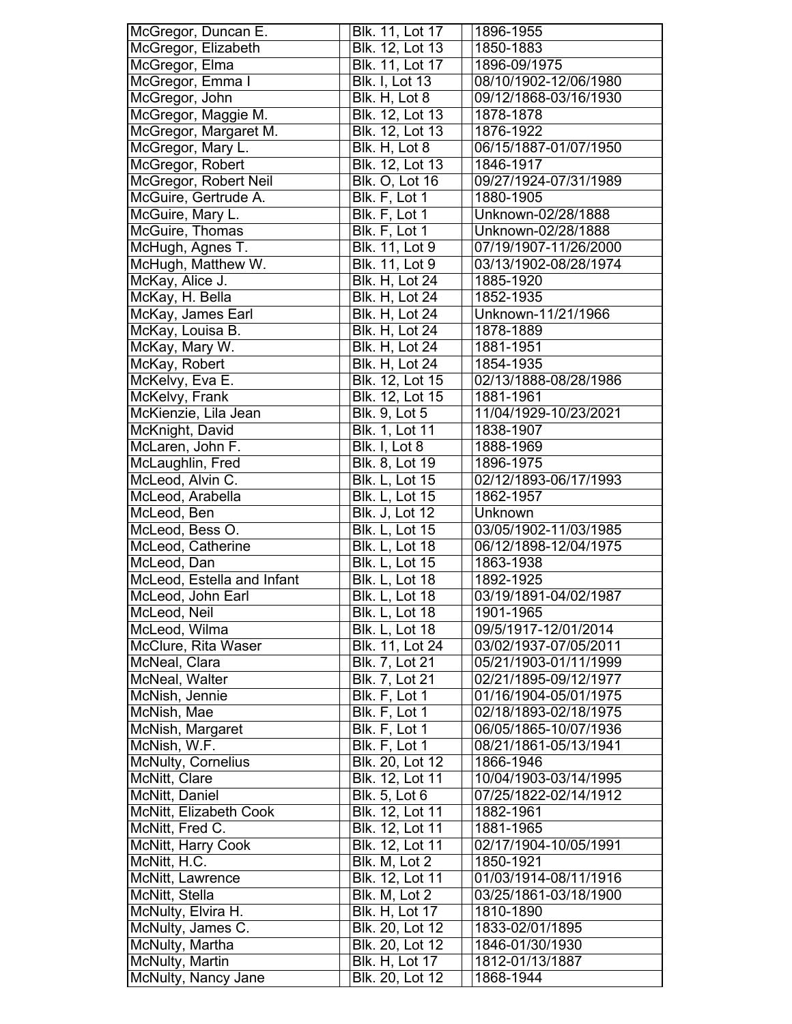| McGregor, Duncan E.                    | Blk. 11, Lot 17                          | 1896-1955                    |
|----------------------------------------|------------------------------------------|------------------------------|
| McGregor, Elizabeth                    | Blk. 12, Lot 13                          | 1850-1883                    |
| McGregor, Elma                         | Blk. 11, Lot 17                          | 1896-09/1975                 |
| McGregor, Emma I                       | <b>Blk. I, Lot 13</b>                    | 08/10/1902-12/06/1980        |
| McGregor, John                         | Blk. H, Lot 8                            | 09/12/1868-03/16/1930        |
| McGregor, Maggie M.                    | Blk. 12, Lot 13                          | 1878-1878                    |
| McGregor, Margaret M.                  | Blk. 12, Lot 13                          | 1876-1922                    |
| McGregor, Mary L.                      | Blk. H, Lot 8                            | 06/15/1887-01/07/1950        |
| McGregor, Robert                       | Blk. 12, Lot 13                          | 1846-1917                    |
| McGregor, Robert Neil                  | <b>Blk. O, Lot 16</b>                    | 09/27/1924-07/31/1989        |
|                                        | Blk. F, Lot 1                            | 1880-1905                    |
| McGuire, Gertrude A.                   |                                          |                              |
| McGuire, Mary L.                       | Blk. F, Lot 1                            | Unknown-02/28/1888           |
| McGuire, Thomas                        | Blk. F, Lot 1                            | Unknown-02/28/1888           |
| McHugh, Agnes T.                       | Blk. 11, Lot 9                           | 07/19/1907-11/26/2000        |
| McHugh, Matthew W.                     | Blk. 11, Lot 9                           | 03/13/1902-08/28/1974        |
| McKay, Alice J.                        | <b>Blk. H, Lot 24</b>                    | 1885-1920                    |
| McKay, H. Bella                        | <b>Blk. H, Lot 24</b>                    | 1852-1935                    |
| McKay, James Earl                      | <b>Blk. H, Lot 24</b>                    | Unknown-11/21/1966           |
| McKay, Louisa B.                       | <b>Blk. H, Lot 24</b>                    | 1878-1889                    |
| McKay, Mary W.                         | <b>Blk. H, Lot 24</b>                    | 1881-1951                    |
| McKay, Robert                          | <b>Blk. H, Lot 24</b>                    | 1854-1935                    |
| McKelvy, Eva E.                        | Blk. 12, Lot 15                          | 02/13/1888-08/28/1986        |
| McKelvy, Frank                         | Blk. 12, Lot 15                          | 1881-1961                    |
| McKienzie, Lila Jean                   | <b>Blk. 9, Lot 5</b>                     | 11/04/1929-10/23/2021        |
| McKnight, David                        | Blk. 1, Lot 11                           | 1838-1907                    |
| McLaren, John F.                       | Blk. I, Lot 8                            | 1888-1969                    |
| McLaughlin, Fred                       | Blk. 8, Lot 19                           | 1896-1975                    |
| McLeod, Alvin C.                       | <b>Blk. L, Lot 15</b>                    | 02/12/1893-06/17/1993        |
| McLeod, Arabella                       | <b>Blk. L, Lot 15</b>                    | 1862-1957                    |
|                                        |                                          |                              |
|                                        |                                          |                              |
| McLeod, Ben                            | <b>Blk. J, Lot 12</b>                    | Unknown                      |
| McLeod, Bess O.                        | <b>Blk. L, Lot 15</b>                    | 03/05/1902-11/03/1985        |
| McLeod, Catherine                      | <b>Blk. L, Lot 18</b>                    | 06/12/1898-12/04/1975        |
| McLeod, Dan                            | Blk. L, Lot 15                           | 1863-1938                    |
| McLeod, Estella and Infant             | <b>Blk. L, Lot 18</b>                    | 1892-1925                    |
| McLeod, John Earl                      | <b>Blk. L. Lot 18</b>                    | 03/19/1891-04/02/1987        |
| McLeod, Neil                           | <b>Blk. L, Lot 18</b>                    | 1901-1965                    |
| McLeod, Wilma                          | Blk. L, Lot 18                           | 09/5/1917-12/01/2014         |
| McClure, Rita Waser                    | Blk. 11, Lot 24                          | 03/02/1937-07/05/2011        |
| McNeal, Clara                          | <b>Blk. 7, Lot 21</b>                    | 05/21/1903-01/11/1999        |
| McNeal, Walter                         | Blk. 7, Lot 21                           | 02/21/1895-09/12/1977        |
| McNish, Jennie                         | Blk. F, Lot 1                            | 01/16/1904-05/01/1975        |
| McNish, Mae                            | Blk. F, Lot 1                            | 02/18/1893-02/18/1975        |
| McNish, Margaret                       | Blk. F, Lot 1                            | 06/05/1865-10/07/1936        |
| McNish, W.F.                           | Blk. F, Lot 1                            | 08/21/1861-05/13/1941        |
| <b>McNulty, Cornelius</b>              | Blk. 20, Lot 12                          | 1866-1946                    |
| McNitt, Clare                          | Blk. 12, Lot 11                          | 10/04/1903-03/14/1995        |
|                                        |                                          | 07/25/1822-02/14/1912        |
| McNitt, Daniel                         | <b>Blk. 5, Lot 6</b>                     |                              |
| McNitt, Elizabeth Cook                 | Blk. 12, Lot 11                          | 1882-1961                    |
| McNitt, Fred C.                        | Blk. 12, Lot 11                          | 1881-1965                    |
| McNitt, Harry Cook                     | Blk. 12, Lot 11                          | 02/17/1904-10/05/1991        |
| McNitt, H.C.                           | Blk. M, Lot 2                            | 1850-1921                    |
| McNitt, Lawrence                       | Blk. 12, Lot 11                          | 01/03/1914-08/11/1916        |
| McNitt, Stella                         | Blk. M, Lot 2                            | 03/25/1861-03/18/1900        |
| McNulty, Elvira H.                     | <b>Blk. H, Lot 17</b>                    | 1810-1890                    |
| McNulty, James C.                      | Blk. 20, Lot 12                          | 1833-02/01/1895              |
| McNulty, Martha                        | Blk. 20, Lot 12                          | 1846-01/30/1930              |
| McNulty, Martin<br>McNulty, Nancy Jane | <b>Blk. H, Lot 17</b><br>Blk. 20, Lot 12 | 1812-01/13/1887<br>1868-1944 |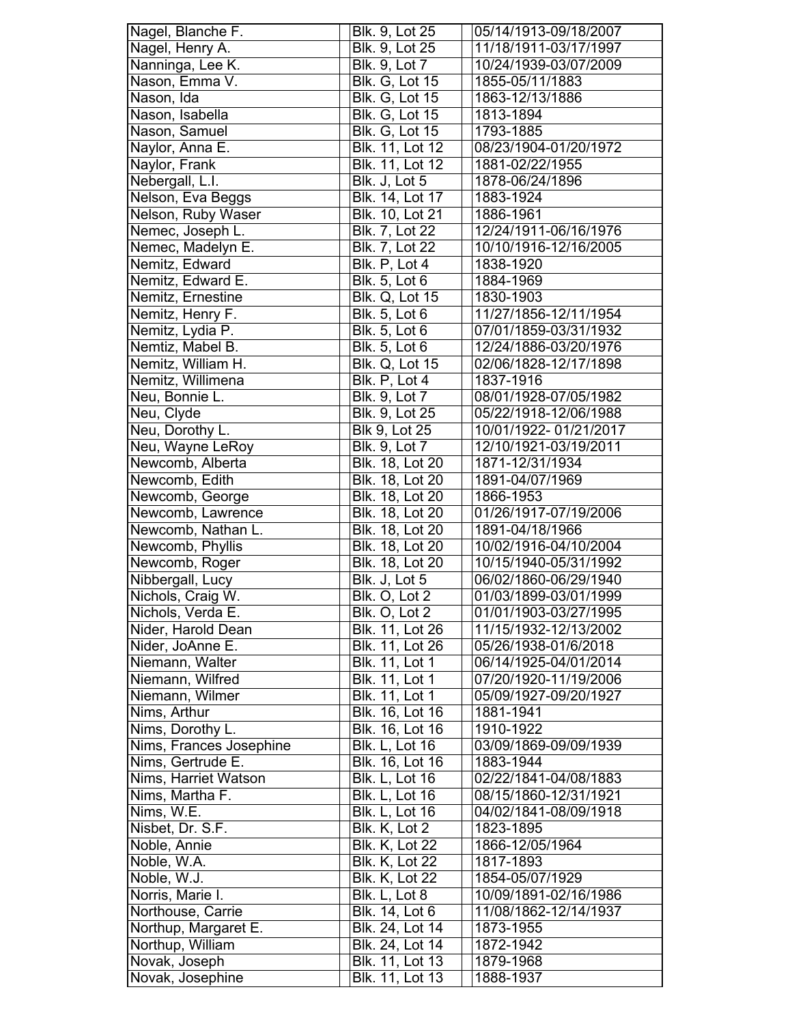| Nagel, Blanche F.       | Blk. 9, Lot 25         | 05/14/1913-09/18/2007 |
|-------------------------|------------------------|-----------------------|
| Nagel, Henry A.         | Blk. 9, Lot 25         | 11/18/1911-03/17/1997 |
| Nanninga, Lee K.        | Blk. 9, Lot 7          | 10/24/1939-03/07/2009 |
| Nason, Emma V.          | <b>Blk. G, Lot 15</b>  | 1855-05/11/1883       |
| Nason, Ida              | <b>Blk. G, Lot 15</b>  | 1863-12/13/1886       |
| Nason, Isabella         | <b>Blk. G, Lot 15</b>  | 1813-1894             |
| Nason, Samuel           | <b>Blk. G, Lot 15</b>  | 1793-1885             |
| Naylor, Anna E.         | Blk. 11, Lot 12        | 08/23/1904-01/20/1972 |
| Naylor, Frank           | Blk. 11, Lot 12        | 1881-02/22/1955       |
| Nebergall, L.I.         | Blk. J, Lot 5          | 1878-06/24/1896       |
| Nelson, Eva Beggs       | Blk. 14, Lot 17        | 1883-1924             |
| Nelson, Ruby Waser      | <b>Blk. 10, Lot 21</b> | 1886-1961             |
| Nemec, Joseph L.        | Blk. 7, Lot 22         | 12/24/1911-06/16/1976 |
| Nemec, Madelyn E.       | Blk. 7, Lot 22         | 10/10/1916-12/16/2005 |
| Nemitz, Edward          | Blk. P, Lot 4          | 1838-1920             |
| Nemitz, Edward E.       | Blk. 5, Lot 6          | 1884-1969             |
| Nemitz, Ernestine       | <b>Blk. Q, Lot 15</b>  | 1830-1903             |
| Nemitz, Henry F.        | <b>Blk. 5, Lot 6</b>   | 11/27/1856-12/11/1954 |
| Nemitz, Lydia P.        | <b>Blk. 5, Lot 6</b>   | 07/01/1859-03/31/1932 |
| Nemtiz, Mabel B.        | <b>Blk. 5, Lot 6</b>   | 12/24/1886-03/20/1976 |
| Nemitz, William H.      | Blk. Q, Lot 15         | 02/06/1828-12/17/1898 |
| Nemitz, Willimena       | Blk. P, Lot 4          | 1837-1916             |
| Neu, Bonnie L.          |                        |                       |
|                         | Blk. 9, Lot 7          | 08/01/1928-07/05/1982 |
| Neu, Clyde              | Blk. 9, Lot 25         | 05/22/1918-12/06/1988 |
| Neu, Dorothy L.         | <b>Blk 9, Lot 25</b>   | 10/01/1922-01/21/2017 |
| Neu, Wayne LeRoy        | Blk. 9, Lot 7          | 12/10/1921-03/19/2011 |
| Newcomb, Alberta        | Blk. 18, Lot 20        | 1871-12/31/1934       |
| Newcomb, Edith          | Blk. 18, Lot 20        | 1891-04/07/1969       |
| Newcomb, George         | <b>Blk. 18, Lot 20</b> | 1866-1953             |
| Newcomb, Lawrence       | <b>Blk. 18, Lot 20</b> | 01/26/1917-07/19/2006 |
| Newcomb, Nathan L.      | <b>Blk. 18, Lot 20</b> | 1891-04/18/1966       |
| Newcomb, Phyllis        | <b>Blk. 18, Lot 20</b> | 10/02/1916-04/10/2004 |
| Newcomb, Roger          | <b>Blk.</b> 18, Lot 20 | 10/15/1940-05/31/1992 |
| Nibbergall, Lucy        | Blk. J, Lot 5          | 06/02/1860-06/29/1940 |
| Nichols, Craig W.       | Blk. O, Lot 2          | 01/03/1899-03/01/1999 |
| Nichols, Verda E.       | Blk. O, Lot 2          | 01/01/1903-03/27/1995 |
| Nider, Harold Dean      | Blk. 11, Lot 26        | 11/15/1932-12/13/2002 |
| Nider, JoAnne E.        | <b>Blk. 11, Lot 26</b> | 05/26/1938-01/6/2018  |
| Niemann, Walter         | Blk. 11, Lot 1         | 06/14/1925-04/01/2014 |
| Niemann, Wilfred        | Blk. 11, Lot 1         | 07/20/1920-11/19/2006 |
| Niemann, Wilmer         | Blk. 11, Lot 1         | 05/09/1927-09/20/1927 |
| Nims, Arthur            | Blk. 16, Lot 16        | 1881-1941             |
| Nims, Dorothy L.        | Blk. 16, Lot 16        | 1910-1922             |
| Nims, Frances Josephine | <b>Blk. L, Lot 16</b>  | 03/09/1869-09/09/1939 |
| Nims, Gertrude E.       | Blk. 16, Lot 16        | 1883-1944             |
| Nims, Harriet Watson    | <b>Blk. L, Lot 16</b>  | 02/22/1841-04/08/1883 |
| Nims, Martha F.         | <b>Blk. L, Lot 16</b>  | 08/15/1860-12/31/1921 |
| Nims, W.E.              | <b>Blk. L, Lot 16</b>  | 04/02/1841-08/09/1918 |
| Nisbet, Dr. S.F.        | Blk. K, Lot 2          | 1823-1895             |
| Noble, Annie            | <b>Blk. K, Lot 22</b>  | 1866-12/05/1964       |
| Noble, W.A.             | <b>Blk. K, Lot 22</b>  | 1817-1893             |
| Noble, W.J.             | <b>Blk. K, Lot 22</b>  | 1854-05/07/1929       |
| Norris, Marie I.        | Blk. L, Lot 8          | 10/09/1891-02/16/1986 |
| Northouse, Carrie       | Blk. 14, Lot 6         | 11/08/1862-12/14/1937 |
| Northup, Margaret E.    | Blk. 24, Lot 14        | 1873-1955             |
| Northup, William        | Blk. 24, Lot 14        | 1872-1942             |
| Novak, Joseph           | Blk. 11, Lot 13        | 1879-1968             |
| Novak, Josephine        | Blk. 11, Lot 13        | 1888-1937             |
|                         |                        |                       |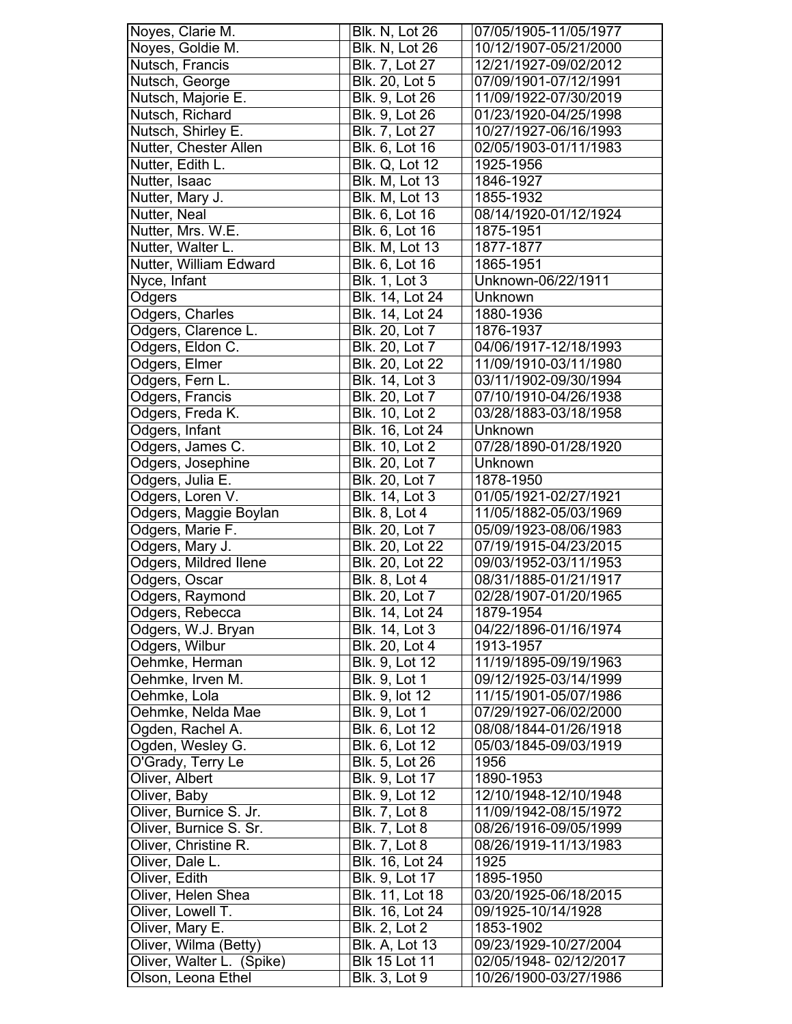| Noyes, Clarie M.                                   | Blk. N, Lot 26                                | 07/05/1905-11/05/1977                          |
|----------------------------------------------------|-----------------------------------------------|------------------------------------------------|
| Noyes, Goldie M.                                   | Blk. N, Lot 26                                | 10/12/1907-05/21/2000                          |
| Nutsch, Francis                                    | Blk. 7, Lot 27                                | 12/21/1927-09/02/2012                          |
| Nutsch, George                                     | Blk. 20, Lot 5                                | 07/09/1901-07/12/1991                          |
| Nutsch, Majorie E.                                 | Blk. 9, Lot 26                                | 11/09/1922-07/30/2019                          |
| Nutsch, Richard                                    | Blk. 9, Lot 26                                | 01/23/1920-04/25/1998                          |
| Nutsch, Shirley E.                                 | Blk. 7, Lot 27                                | 10/27/1927-06/16/1993                          |
| Nutter, Chester Allen                              | Blk. 6, Lot 16                                | 02/05/1903-01/11/1983                          |
| Nutter, Edith L.                                   | Blk. Q, Lot 12                                | 1925-1956                                      |
| Nutter, Isaac                                      | <b>Blk. M, Lot 13</b>                         | 1846-1927                                      |
| Nutter, Mary J.                                    | Blk. M, Lot 13                                | 1855-1932                                      |
| <b>Nutter, Neal</b>                                | <b>Blk. 6, Lot 16</b>                         | 08/14/1920-01/12/1924                          |
| Nutter, Mrs. W.E.                                  | Blk. 6, Lot 16                                | 1875-1951                                      |
| Nutter, Walter L.                                  | <b>Blk. M, Lot 13</b>                         | 1877-1877                                      |
| Nutter, William Edward                             | Blk. 6, Lot 16                                | 1865-1951                                      |
| Nyce, Infant                                       | <b>Blk. 1, Lot 3</b>                          | Unknown-06/22/1911                             |
| Odgers                                             | <b>Blk. 14, Lot 24</b>                        | Unknown                                        |
| Odgers, Charles                                    | Blk. 14, Lot 24                               | 1880-1936                                      |
| Odgers, Clarence L.                                | Blk. 20, Lot 7                                | 1876-1937                                      |
| Odgers, Eldon C.                                   | Blk. 20, Lot 7                                | 04/06/1917-12/18/1993                          |
| Odgers, Elmer                                      | Blk. 20, Lot 22                               | 11/09/1910-03/11/1980                          |
| Odgers, Fern L.                                    | Blk. 14, Lot 3                                | 03/11/1902-09/30/1994                          |
| Odgers, Francis                                    | Blk. 20, Lot 7                                | 07/10/1910-04/26/1938                          |
| Odgers, Freda K.                                   | Blk. 10, Lot 2                                | 03/28/1883-03/18/1958                          |
| Odgers, Infant                                     | Blk. 16, Lot 24                               | Unknown                                        |
| Odgers, James C.                                   | Blk. 10, Lot 2                                | 07/28/1890-01/28/1920                          |
| Odgers, Josephine                                  | <b>Blk. 20, Lot 7</b>                         | Unknown                                        |
| Odgers, Julia E.                                   | Blk. 20, Lot 7                                | 1878-1950                                      |
| Odgers, Loren V.                                   | Blk. 14, Lot 3                                | 01/05/1921-02/27/1921                          |
| Odgers, Maggie Boylan                              | Blk. 8, Lot 4                                 | 11/05/1882-05/03/1969                          |
| Odgers, Marie F.                                   | <b>Blk. 20, Lot 7</b>                         | 05/09/1923-08/06/1983                          |
| Odgers, Mary J.                                    | Blk. 20, Lot 22                               | 07/19/1915-04/23/2015                          |
| Odgers, Mildred Ilene                              | Blk. 20, Lot 22                               | 09/03/1952-03/11/1953                          |
| Odgers, Oscar                                      | <b>Blk. 8, Lot 4</b>                          | 08/31/1885-01/21/1917                          |
| Odgers, Raymond                                    | <b>Blk.</b> 20, Lot 7                         | 02/28/1907-01/20/1965                          |
| Odgers, Rebecca                                    | Blk. 14, Lot 24                               | 1879-1954                                      |
| Odgers, W.J. Bryan                                 | Blk. 14, Lot 3                                | 04/22/1896-01/16/1974                          |
| Odgers, Wilbur                                     | Blk. 20, Lot 4                                | 1913-1957                                      |
| Oehmke, Herman                                     | <b>Blk. 9, Lot 12</b>                         | 11/19/1895-09/19/1963                          |
| Oehmke, Irven M.                                   | <b>Blk. 9, Lot 1</b>                          | 09/12/1925-03/14/1999                          |
| Oehmke, Lola                                       | Blk. 9, lot 12                                | 11/15/1901-05/07/1986                          |
| Oehmke, Nelda Mae                                  | <b>Blk. 9, Lot 1</b>                          | 07/29/1927-06/02/2000                          |
| Ogden, Rachel A.                                   | Blk. 6, Lot 12                                | 08/08/1844-01/26/1918                          |
| Ogden, Wesley G.                                   | Blk. 6, Lot 12                                | 05/03/1845-09/03/1919                          |
| O'Grady, Terry Le                                  | Blk. 5, Lot 26                                | 1956                                           |
| Oliver, Albert                                     | Blk. 9, Lot 17                                | 1890-1953                                      |
| Oliver, Baby                                       | Blk. 9, Lot 12                                | 12/10/1948-12/10/1948                          |
| Oliver, Burnice S. Jr.                             | <b>Blk. 7, Lot 8</b>                          | 11/09/1942-08/15/1972                          |
| Oliver, Burnice S. Sr.                             | <b>Blk. 7, Lot 8</b>                          | 08/26/1916-09/05/1999                          |
| Oliver, Christine R.                               | <b>Blk. 7, Lot 8</b>                          | 08/26/1919-11/13/1983                          |
| Oliver, Dale L.                                    | Blk. 16, Lot 24                               | 1925                                           |
| Oliver, Edith                                      | Blk. 9, Lot 17                                | 1895-1950                                      |
| Oliver, Helen Shea                                 | Blk. 11, Lot 18                               | 03/20/1925-06/18/2015                          |
| Oliver, Lowell T.                                  |                                               |                                                |
|                                                    |                                               |                                                |
|                                                    | Blk. 16, Lot 24                               | 09/1925-10/14/1928                             |
| Oliver, Mary E.                                    | <b>Blk. 2, Lot 2</b>                          | 1853-1902                                      |
| Oliver, Wilma (Betty)<br>Oliver, Walter L. (Spike) | <b>Blk. A, Lot 13</b><br><b>Blk 15 Lot 11</b> | 09/23/1929-10/27/2004<br>02/05/1948-02/12/2017 |